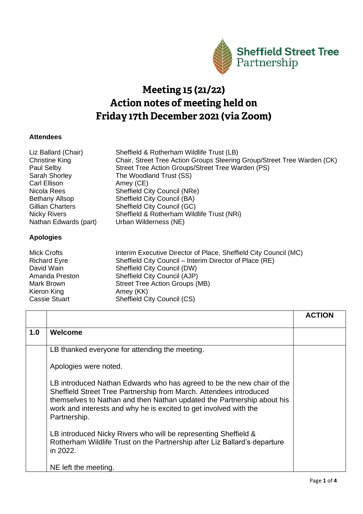

## Meeting 15 (21/22) Action notes of meeting held on Friday 17th December 2021 (via Zoom)

## **Attendees**

| Liz Ballard (Chair)     | Sheffield & Rotherham Wildlife Trust (LB)                               |
|-------------------------|-------------------------------------------------------------------------|
| <b>Christine King</b>   | Chair, Street Tree Action Groups Steering Group/Street Tree Warden (CK) |
| Paul Selby              | Street Tree Action Groups/Street Tree Warden (PS)                       |
| Sarah Shorley           | The Woodland Trust (SS)                                                 |
| Carl Ellison            | Amey (CE)                                                               |
| Nicola Rees             | Sheffield City Council (NRe)                                            |
| <b>Bethany Allsop</b>   | <b>Sheffield City Council (BA)</b>                                      |
| <b>Gillian Charters</b> | Sheffield City Council (GC)                                             |
| <b>Nicky Rivers</b>     | Sheffield & Rotherham Wildlife Trust (NRi)                              |
| Nathan Edwards (part)   | Urban Wilderness (NE)                                                   |
| <b>Apologies</b>        |                                                                         |
| $M_{\rm in}$            | $Intersim Evoouting Diracator of Dloce Chaffield City Council (MCM)$    |

| Interim Executive Director of Place, Sheffield City Council (MC) |
|------------------------------------------------------------------|
| Sheffield City Council – Interim Director of Place (RE)          |
| Sheffield City Council (DW)                                      |
| Sheffield City Council (AJP)                                     |
| Street Tree Action Groups (MB)                                   |
| Amey (KK)                                                        |
| <b>Sheffield City Council (CS)</b>                               |
|                                                                  |

|     |                                                                                                                                                                                                                                                                                                             | <b>ACTION</b> |
|-----|-------------------------------------------------------------------------------------------------------------------------------------------------------------------------------------------------------------------------------------------------------------------------------------------------------------|---------------|
| 1.0 | Welcome                                                                                                                                                                                                                                                                                                     |               |
|     | LB thanked everyone for attending the meeting.                                                                                                                                                                                                                                                              |               |
|     | Apologies were noted.                                                                                                                                                                                                                                                                                       |               |
|     | LB introduced Nathan Edwards who has agreed to be the new chair of the<br>Sheffield Street Tree Partnership from March. Attendees introduced<br>themselves to Nathan and then Nathan updated the Partnership about his<br>work and interests and why he is excited to get involved with the<br>Partnership. |               |
|     | LB introduced Nicky Rivers who will be representing Sheffield &<br>Rotherham Wildlife Trust on the Partnership after Liz Ballard's departure<br>in 2022.                                                                                                                                                    |               |
|     | NE left the meeting.                                                                                                                                                                                                                                                                                        |               |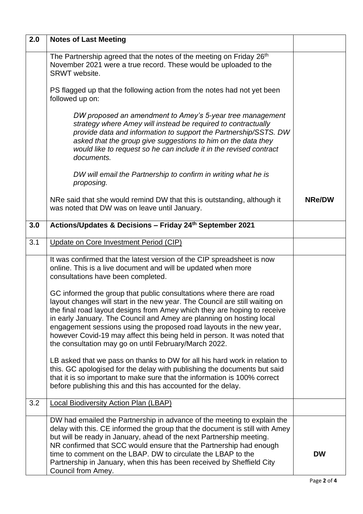| 2.0 | <b>Notes of Last Meeting</b>                                                                                                                                                                                                                                                                                                                                                                                                                                                                                         |               |
|-----|----------------------------------------------------------------------------------------------------------------------------------------------------------------------------------------------------------------------------------------------------------------------------------------------------------------------------------------------------------------------------------------------------------------------------------------------------------------------------------------------------------------------|---------------|
|     | The Partnership agreed that the notes of the meeting on Friday 26 <sup>th</sup><br>November 2021 were a true record. These would be uploaded to the<br>SRWT website.                                                                                                                                                                                                                                                                                                                                                 |               |
|     | PS flagged up that the following action from the notes had not yet been<br>followed up on:                                                                                                                                                                                                                                                                                                                                                                                                                           |               |
|     | DW proposed an amendment to Amey's 5-year tree management<br>strategy where Amey will instead be required to contractually<br>provide data and information to support the Partnership/SSTS. DW<br>asked that the group give suggestions to him on the data they<br>would like to request so he can include it in the revised contract<br>documents.                                                                                                                                                                  |               |
|     | DW will email the Partnership to confirm in writing what he is<br>proposing.                                                                                                                                                                                                                                                                                                                                                                                                                                         |               |
|     | NRe said that she would remind DW that this is outstanding, although it<br>was noted that DW was on leave until January.                                                                                                                                                                                                                                                                                                                                                                                             | <b>NRe/DW</b> |
| 3.0 | Actions/Updates & Decisions - Friday 24th September 2021                                                                                                                                                                                                                                                                                                                                                                                                                                                             |               |
| 3.1 | Update on Core Investment Period (CIP)                                                                                                                                                                                                                                                                                                                                                                                                                                                                               |               |
|     | It was confirmed that the latest version of the CIP spreadsheet is now<br>online. This is a live document and will be updated when more<br>consultations have been completed.                                                                                                                                                                                                                                                                                                                                        |               |
|     | GC informed the group that public consultations where there are road<br>layout changes will start in the new year. The Council are still waiting on<br>the final road layout designs from Amey which they are hoping to receive<br>in early January. The Council and Amey are planning on hosting local<br>engagement sessions using the proposed road layouts in the new year,<br>however Covid-19 may affect this being held in person. It was noted that<br>the consultation may go on until February/March 2022. |               |
|     | LB asked that we pass on thanks to DW for all his hard work in relation to<br>this. GC apologised for the delay with publishing the documents but said<br>that it is so important to make sure that the information is 100% correct<br>before publishing this and this has accounted for the delay.                                                                                                                                                                                                                  |               |
| 3.2 | <b>Local Biodiversity Action Plan (LBAP)</b>                                                                                                                                                                                                                                                                                                                                                                                                                                                                         |               |
|     | DW had emailed the Partnership in advance of the meeting to explain the<br>delay with this. CE informed the group that the document is still with Amey<br>but will be ready in January, ahead of the next Partnership meeting.<br>NR confirmed that SCC would ensure that the Partnership had enough<br>time to comment on the LBAP. DW to circulate the LBAP to the<br>Partnership in January, when this has been received by Sheffield City<br>Council from Amey.                                                  | <b>DW</b>     |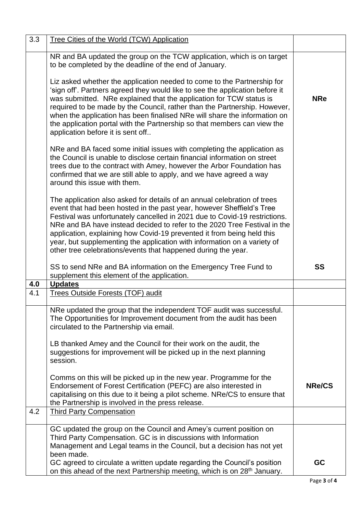| 3.3 | Tree Cities of the World (TCW) Application                                                                                                                                                                                                                                                                                                                                                                                                                                                                                          |               |
|-----|-------------------------------------------------------------------------------------------------------------------------------------------------------------------------------------------------------------------------------------------------------------------------------------------------------------------------------------------------------------------------------------------------------------------------------------------------------------------------------------------------------------------------------------|---------------|
|     | NR and BA updated the group on the TCW application, which is on target<br>to be completed by the deadline of the end of January.                                                                                                                                                                                                                                                                                                                                                                                                    |               |
|     | Liz asked whether the application needed to come to the Partnership for<br>'sign off'. Partners agreed they would like to see the application before it<br>was submitted. NRe explained that the application for TCW status is<br>required to be made by the Council, rather than the Partnership. However,<br>when the application has been finalised NRe will share the information on<br>the application portal with the Partnership so that members can view the<br>application before it is sent off                           | <b>NRe</b>    |
|     | NRe and BA faced some initial issues with completing the application as<br>the Council is unable to disclose certain financial information on street<br>trees due to the contract with Amey, however the Arbor Foundation has<br>confirmed that we are still able to apply, and we have agreed a way<br>around this issue with them.                                                                                                                                                                                                |               |
|     | The application also asked for details of an annual celebration of trees<br>event that had been hosted in the past year, however Sheffield's Tree<br>Festival was unfortunately cancelled in 2021 due to Covid-19 restrictions.<br>NRe and BA have instead decided to refer to the 2020 Tree Festival in the<br>application, explaining how Covid-19 prevented it from being held this<br>year, but supplementing the application with information on a variety of<br>other tree celebrations/events that happened during the year. |               |
|     | SS to send NRe and BA information on the Emergency Tree Fund to<br>supplement this element of the application.                                                                                                                                                                                                                                                                                                                                                                                                                      | <b>SS</b>     |
| 4.0 | <b>Updates</b>                                                                                                                                                                                                                                                                                                                                                                                                                                                                                                                      |               |
| 4.1 | <b>Trees Outside Forests (TOF) audit</b>                                                                                                                                                                                                                                                                                                                                                                                                                                                                                            |               |
|     | NRe updated the group that the independent TOF audit was successful.<br>The Opportunities for Improvement document from the audit has been<br>circulated to the Partnership via email.                                                                                                                                                                                                                                                                                                                                              |               |
|     | LB thanked Amey and the Council for their work on the audit, the<br>suggestions for improvement will be picked up in the next planning<br>session.                                                                                                                                                                                                                                                                                                                                                                                  |               |
|     | Comms on this will be picked up in the new year. Programme for the<br>Endorsement of Forest Certification (PEFC) are also interested in<br>capitalising on this due to it being a pilot scheme. NRe/CS to ensure that<br>the Partnership is involved in the press release.                                                                                                                                                                                                                                                          | <b>NRe/CS</b> |
| 4.2 | <b>Third Party Compensation</b>                                                                                                                                                                                                                                                                                                                                                                                                                                                                                                     |               |
|     | GC updated the group on the Council and Amey's current position on<br>Third Party Compensation. GC is in discussions with Information<br>Management and Legal teams in the Council, but a decision has not yet<br>been made.                                                                                                                                                                                                                                                                                                        |               |
|     | GC agreed to circulate a written update regarding the Council's position<br>on this ahead of the next Partnership meeting, which is on 28 <sup>th</sup> January.                                                                                                                                                                                                                                                                                                                                                                    | <b>GC</b>     |